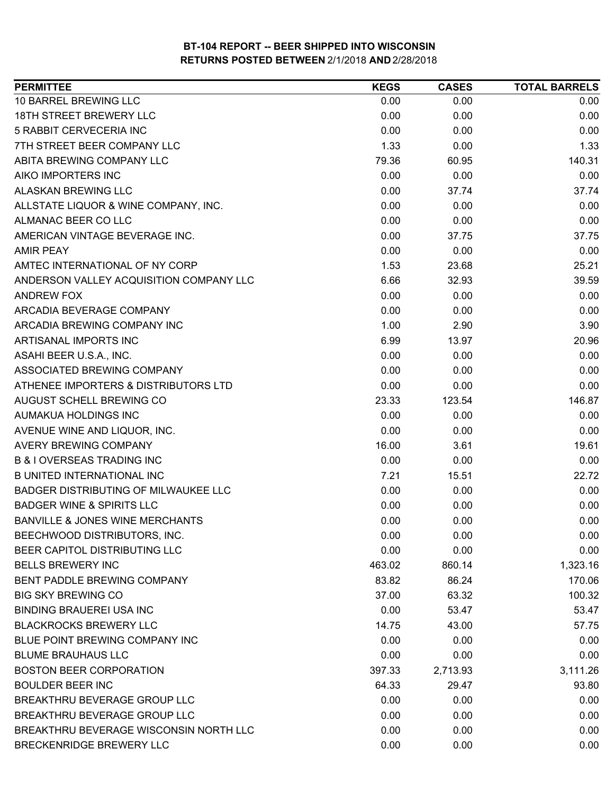| <b>PERMITTEE</b>                            | <b>KEGS</b> | <b>CASES</b> | <b>TOTAL BARRELS</b> |
|---------------------------------------------|-------------|--------------|----------------------|
| 10 BARREL BREWING LLC                       | 0.00        | 0.00         | 0.00                 |
| 18TH STREET BREWERY LLC                     | 0.00        | 0.00         | 0.00                 |
| 5 RABBIT CERVECERIA INC                     | 0.00        | 0.00         | 0.00                 |
| 7TH STREET BEER COMPANY LLC                 | 1.33        | 0.00         | 1.33                 |
| ABITA BREWING COMPANY LLC                   | 79.36       | 60.95        | 140.31               |
| AIKO IMPORTERS INC                          | 0.00        | 0.00         | 0.00                 |
| ALASKAN BREWING LLC                         | 0.00        | 37.74        | 37.74                |
| ALLSTATE LIQUOR & WINE COMPANY, INC.        | 0.00        | 0.00         | 0.00                 |
| ALMANAC BEER CO LLC                         | 0.00        | 0.00         | 0.00                 |
| AMERICAN VINTAGE BEVERAGE INC.              | 0.00        | 37.75        | 37.75                |
| <b>AMIR PEAY</b>                            | 0.00        | 0.00         | 0.00                 |
| AMTEC INTERNATIONAL OF NY CORP              | 1.53        | 23.68        | 25.21                |
| ANDERSON VALLEY ACQUISITION COMPANY LLC     | 6.66        | 32.93        | 39.59                |
| <b>ANDREW FOX</b>                           | 0.00        | 0.00         | 0.00                 |
| ARCADIA BEVERAGE COMPANY                    | 0.00        | 0.00         | 0.00                 |
| ARCADIA BREWING COMPANY INC                 | 1.00        | 2.90         | 3.90                 |
| ARTISANAL IMPORTS INC                       | 6.99        | 13.97        | 20.96                |
| ASAHI BEER U.S.A., INC.                     | 0.00        | 0.00         | 0.00                 |
| ASSOCIATED BREWING COMPANY                  | 0.00        | 0.00         | 0.00                 |
| ATHENEE IMPORTERS & DISTRIBUTORS LTD        | 0.00        | 0.00         | 0.00                 |
| AUGUST SCHELL BREWING CO                    | 23.33       | 123.54       | 146.87               |
| AUMAKUA HOLDINGS INC                        | 0.00        | 0.00         | 0.00                 |
| AVENUE WINE AND LIQUOR, INC.                | 0.00        | 0.00         | 0.00                 |
| AVERY BREWING COMPANY                       | 16.00       | 3.61         | 19.61                |
| <b>B &amp; I OVERSEAS TRADING INC</b>       | 0.00        | 0.00         | 0.00                 |
| <b>B UNITED INTERNATIONAL INC</b>           | 7.21        | 15.51        | 22.72                |
| <b>BADGER DISTRIBUTING OF MILWAUKEE LLC</b> | 0.00        | 0.00         | 0.00                 |
| <b>BADGER WINE &amp; SPIRITS LLC</b>        | 0.00        | 0.00         | 0.00                 |
| <b>BANVILLE &amp; JONES WINE MERCHANTS</b>  | 0.00        | 0.00         | 0.00                 |
| BEECHWOOD DISTRIBUTORS, INC.                | 0.00        | 0.00         | 0.00                 |
| BEER CAPITOL DISTRIBUTING LLC               | 0.00        | 0.00         | 0.00                 |
| <b>BELLS BREWERY INC</b>                    | 463.02      | 860.14       | 1,323.16             |
| BENT PADDLE BREWING COMPANY                 | 83.82       | 86.24        | 170.06               |
| <b>BIG SKY BREWING CO</b>                   | 37.00       | 63.32        | 100.32               |
| <b>BINDING BRAUEREI USA INC.</b>            | 0.00        | 53.47        | 53.47                |
| <b>BLACKROCKS BREWERY LLC</b>               | 14.75       | 43.00        | 57.75                |
| BLUE POINT BREWING COMPANY INC              | 0.00        | 0.00         | 0.00                 |
| <b>BLUME BRAUHAUS LLC</b>                   | 0.00        | 0.00         | 0.00                 |
| <b>BOSTON BEER CORPORATION</b>              | 397.33      | 2,713.93     | 3,111.26             |
| <b>BOULDER BEER INC</b>                     | 64.33       | 29.47        | 93.80                |
| BREAKTHRU BEVERAGE GROUP LLC                | 0.00        | 0.00         | 0.00                 |
| BREAKTHRU BEVERAGE GROUP LLC                | 0.00        | 0.00         | 0.00                 |
| BREAKTHRU BEVERAGE WISCONSIN NORTH LLC      | 0.00        | 0.00         | 0.00                 |
| BRECKENRIDGE BREWERY LLC                    | 0.00        | 0.00         | 0.00                 |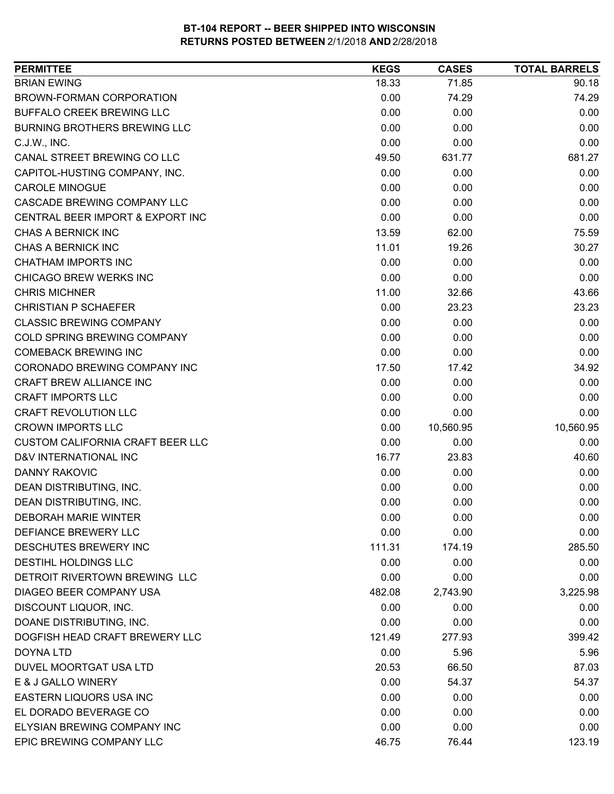| <b>PERMITTEE</b>                        | <b>KEGS</b> | <b>CASES</b> | <b>TOTAL BARRELS</b> |
|-----------------------------------------|-------------|--------------|----------------------|
| <b>BRIAN EWING</b>                      | 18.33       | 71.85        | 90.18                |
| <b>BROWN-FORMAN CORPORATION</b>         | 0.00        | 74.29        | 74.29                |
| <b>BUFFALO CREEK BREWING LLC</b>        | 0.00        | 0.00         | 0.00                 |
| <b>BURNING BROTHERS BREWING LLC</b>     | 0.00        | 0.00         | 0.00                 |
| C.J.W., INC.                            | 0.00        | 0.00         | 0.00                 |
| CANAL STREET BREWING CO LLC             | 49.50       | 631.77       | 681.27               |
| CAPITOL-HUSTING COMPANY, INC.           | 0.00        | 0.00         | 0.00                 |
| <b>CAROLE MINOGUE</b>                   | 0.00        | 0.00         | 0.00                 |
| <b>CASCADE BREWING COMPANY LLC</b>      | 0.00        | 0.00         | 0.00                 |
| CENTRAL BEER IMPORT & EXPORT INC        | 0.00        | 0.00         | 0.00                 |
| CHAS A BERNICK INC                      | 13.59       | 62.00        | 75.59                |
| CHAS A BERNICK INC                      | 11.01       | 19.26        | 30.27                |
| <b>CHATHAM IMPORTS INC</b>              | 0.00        | 0.00         | 0.00                 |
| <b>CHICAGO BREW WERKS INC</b>           | 0.00        | 0.00         | 0.00                 |
| <b>CHRIS MICHNER</b>                    | 11.00       | 32.66        | 43.66                |
| <b>CHRISTIAN P SCHAEFER</b>             | 0.00        | 23.23        | 23.23                |
| <b>CLASSIC BREWING COMPANY</b>          | 0.00        | 0.00         | 0.00                 |
| COLD SPRING BREWING COMPANY             | 0.00        | 0.00         | 0.00                 |
| <b>COMEBACK BREWING INC</b>             | 0.00        | 0.00         | 0.00                 |
| CORONADO BREWING COMPANY INC            | 17.50       | 17.42        | 34.92                |
| CRAFT BREW ALLIANCE INC                 | 0.00        | 0.00         | 0.00                 |
| <b>CRAFT IMPORTS LLC</b>                | 0.00        | 0.00         | 0.00                 |
| <b>CRAFT REVOLUTION LLC</b>             | 0.00        | 0.00         | 0.00                 |
| <b>CROWN IMPORTS LLC</b>                | 0.00        | 10,560.95    | 10,560.95            |
| <b>CUSTOM CALIFORNIA CRAFT BEER LLC</b> | 0.00        | 0.00         | 0.00                 |
| D&V INTERNATIONAL INC                   | 16.77       | 23.83        | 40.60                |
| <b>DANNY RAKOVIC</b>                    | 0.00        | 0.00         | 0.00                 |
| DEAN DISTRIBUTING, INC.                 | 0.00        | 0.00         | 0.00                 |
| DEAN DISTRIBUTING, INC.                 | 0.00        | 0.00         | 0.00                 |
| <b>DEBORAH MARIE WINTER</b>             | 0.00        | 0.00         | 0.00                 |
| DEFIANCE BREWERY LLC                    | 0.00        | 0.00         | 0.00                 |
| DESCHUTES BREWERY INC                   | 111.31      | 174.19       | 285.50               |
| DESTIHL HOLDINGS LLC                    | 0.00        | 0.00         | 0.00                 |
| DETROIT RIVERTOWN BREWING LLC           | 0.00        | 0.00         | 0.00                 |
| DIAGEO BEER COMPANY USA                 | 482.08      | 2,743.90     | 3,225.98             |
| DISCOUNT LIQUOR, INC.                   | 0.00        | 0.00         | 0.00                 |
| DOANE DISTRIBUTING, INC.                | 0.00        | 0.00         | 0.00                 |
| DOGFISH HEAD CRAFT BREWERY LLC          | 121.49      | 277.93       | 399.42               |
| DOYNA LTD                               | 0.00        | 5.96         | 5.96                 |
| DUVEL MOORTGAT USA LTD                  | 20.53       | 66.50        | 87.03                |
| E & J GALLO WINERY                      | 0.00        | 54.37        | 54.37                |
| EASTERN LIQUORS USA INC                 | 0.00        | 0.00         | 0.00                 |
| EL DORADO BEVERAGE CO                   | 0.00        | 0.00         | 0.00                 |
| ELYSIAN BREWING COMPANY INC             | 0.00        | 0.00         | 0.00                 |
| EPIC BREWING COMPANY LLC                | 46.75       | 76.44        | 123.19               |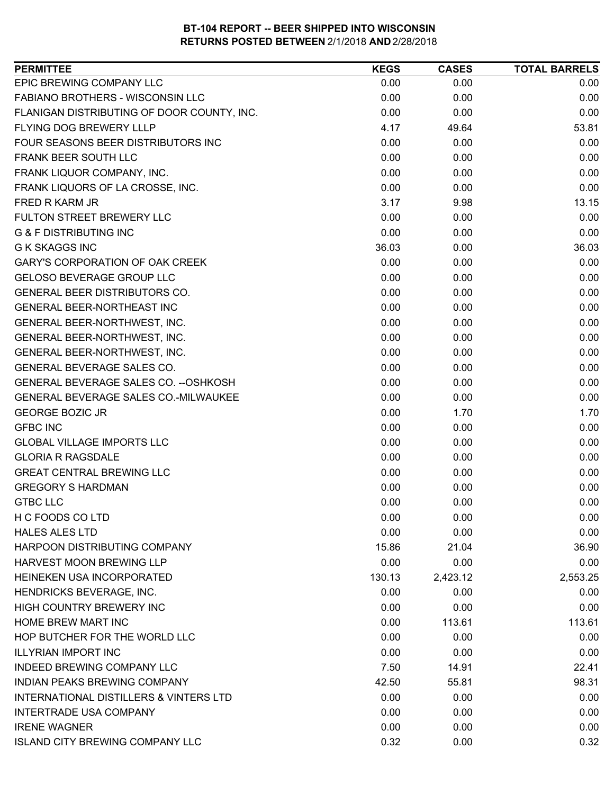| EPIC BREWING COMPANY LLC<br>0.00<br>0.00<br>0.00<br><b>FABIANO BROTHERS - WISCONSIN LLC</b><br>0.00<br>0.00<br>0.00<br>FLANIGAN DISTRIBUTING OF DOOR COUNTY, INC.<br>0.00<br>0.00<br>0.00<br>FLYING DOG BREWERY LLLP<br>4.17<br>53.81<br>49.64<br>FOUR SEASONS BEER DISTRIBUTORS INC<br>0.00<br>0.00<br>0.00<br>FRANK BEER SOUTH LLC<br>0.00<br>0.00<br>0.00<br>FRANK LIQUOR COMPANY, INC.<br>0.00<br>0.00<br>0.00<br>FRANK LIQUORS OF LA CROSSE, INC.<br>0.00<br>0.00<br>0.00<br>3.17<br>9.98<br>13.15<br>FRED R KARM JR<br>FULTON STREET BREWERY LLC<br>0.00<br>0.00<br>0.00<br><b>G &amp; F DISTRIBUTING INC</b><br>0.00<br>0.00<br>0.00<br><b>G K SKAGGS INC</b><br>36.03<br>0.00<br>36.03<br>GARY'S CORPORATION OF OAK CREEK<br>0.00<br>0.00<br>0.00<br><b>GELOSO BEVERAGE GROUP LLC</b><br>0.00<br>0.00<br>0.00<br>GENERAL BEER DISTRIBUTORS CO.<br>0.00<br>0.00<br>0.00<br><b>GENERAL BEER-NORTHEAST INC</b><br>0.00<br>0.00<br>0.00<br>0.00<br>GENERAL BEER-NORTHWEST, INC.<br>0.00<br>0.00<br>0.00<br>0.00<br>GENERAL BEER-NORTHWEST, INC.<br>0.00<br>GENERAL BEER-NORTHWEST, INC.<br>0.00<br>0.00<br>0.00<br>GENERAL BEVERAGE SALES CO.<br>0.00<br>0.00<br>0.00<br>GENERAL BEVERAGE SALES CO. -- OSHKOSH<br>0.00<br>0.00<br>0.00<br>GENERAL BEVERAGE SALES CO.-MILWAUKEE<br>0.00<br>0.00<br>0.00<br><b>GEORGE BOZIC JR</b><br>0.00<br>1.70<br>1.70<br><b>GFBC INC</b><br>0.00<br>0.00<br>0.00<br>0.00<br>0.00<br>0.00<br><b>GLOBAL VILLAGE IMPORTS LLC</b><br>0.00<br><b>GLORIA R RAGSDALE</b><br>0.00<br>0.00<br><b>GREAT CENTRAL BREWING LLC</b><br>0.00<br>0.00<br>0.00<br><b>GREGORY S HARDMAN</b><br>0.00<br>0.00<br>0.00<br><b>GTBC LLC</b><br>0.00<br>0.00<br>0.00<br>H C FOODS CO LTD<br>0.00<br>0.00<br>0.00<br>0.00<br>0.00<br>0.00<br>15.86<br>21.04<br>36.90<br><b>HARVEST MOON BREWING LLP</b><br>0.00<br>0.00<br>0.00<br>HEINEKEN USA INCORPORATED<br>130.13<br>2,423.12<br>2,553.25<br>HENDRICKS BEVERAGE, INC.<br>0.00<br>0.00<br>0.00<br><b>HIGH COUNTRY BREWERY INC</b><br>0.00<br>0.00<br>0.00<br>HOME BREW MART INC<br>113.61<br>0.00<br>113.61 | <b>PERMITTEE</b>              | <b>KEGS</b> | <b>CASES</b> | <b>TOTAL BARRELS</b> |
|-------------------------------------------------------------------------------------------------------------------------------------------------------------------------------------------------------------------------------------------------------------------------------------------------------------------------------------------------------------------------------------------------------------------------------------------------------------------------------------------------------------------------------------------------------------------------------------------------------------------------------------------------------------------------------------------------------------------------------------------------------------------------------------------------------------------------------------------------------------------------------------------------------------------------------------------------------------------------------------------------------------------------------------------------------------------------------------------------------------------------------------------------------------------------------------------------------------------------------------------------------------------------------------------------------------------------------------------------------------------------------------------------------------------------------------------------------------------------------------------------------------------------------------------------------------------------------------------------------------------------------------------------------------------------------------------------------------------------------------------------------------------------------------------------------------------------------------------------------------------------------------------------------------------------------------------------------------------------------------------------------------------------------------------------------------------------------|-------------------------------|-------------|--------------|----------------------|
|                                                                                                                                                                                                                                                                                                                                                                                                                                                                                                                                                                                                                                                                                                                                                                                                                                                                                                                                                                                                                                                                                                                                                                                                                                                                                                                                                                                                                                                                                                                                                                                                                                                                                                                                                                                                                                                                                                                                                                                                                                                                               |                               |             |              |                      |
|                                                                                                                                                                                                                                                                                                                                                                                                                                                                                                                                                                                                                                                                                                                                                                                                                                                                                                                                                                                                                                                                                                                                                                                                                                                                                                                                                                                                                                                                                                                                                                                                                                                                                                                                                                                                                                                                                                                                                                                                                                                                               |                               |             |              |                      |
|                                                                                                                                                                                                                                                                                                                                                                                                                                                                                                                                                                                                                                                                                                                                                                                                                                                                                                                                                                                                                                                                                                                                                                                                                                                                                                                                                                                                                                                                                                                                                                                                                                                                                                                                                                                                                                                                                                                                                                                                                                                                               |                               |             |              |                      |
|                                                                                                                                                                                                                                                                                                                                                                                                                                                                                                                                                                                                                                                                                                                                                                                                                                                                                                                                                                                                                                                                                                                                                                                                                                                                                                                                                                                                                                                                                                                                                                                                                                                                                                                                                                                                                                                                                                                                                                                                                                                                               |                               |             |              |                      |
|                                                                                                                                                                                                                                                                                                                                                                                                                                                                                                                                                                                                                                                                                                                                                                                                                                                                                                                                                                                                                                                                                                                                                                                                                                                                                                                                                                                                                                                                                                                                                                                                                                                                                                                                                                                                                                                                                                                                                                                                                                                                               |                               |             |              |                      |
|                                                                                                                                                                                                                                                                                                                                                                                                                                                                                                                                                                                                                                                                                                                                                                                                                                                                                                                                                                                                                                                                                                                                                                                                                                                                                                                                                                                                                                                                                                                                                                                                                                                                                                                                                                                                                                                                                                                                                                                                                                                                               |                               |             |              |                      |
|                                                                                                                                                                                                                                                                                                                                                                                                                                                                                                                                                                                                                                                                                                                                                                                                                                                                                                                                                                                                                                                                                                                                                                                                                                                                                                                                                                                                                                                                                                                                                                                                                                                                                                                                                                                                                                                                                                                                                                                                                                                                               |                               |             |              |                      |
|                                                                                                                                                                                                                                                                                                                                                                                                                                                                                                                                                                                                                                                                                                                                                                                                                                                                                                                                                                                                                                                                                                                                                                                                                                                                                                                                                                                                                                                                                                                                                                                                                                                                                                                                                                                                                                                                                                                                                                                                                                                                               |                               |             |              |                      |
|                                                                                                                                                                                                                                                                                                                                                                                                                                                                                                                                                                                                                                                                                                                                                                                                                                                                                                                                                                                                                                                                                                                                                                                                                                                                                                                                                                                                                                                                                                                                                                                                                                                                                                                                                                                                                                                                                                                                                                                                                                                                               |                               |             |              |                      |
|                                                                                                                                                                                                                                                                                                                                                                                                                                                                                                                                                                                                                                                                                                                                                                                                                                                                                                                                                                                                                                                                                                                                                                                                                                                                                                                                                                                                                                                                                                                                                                                                                                                                                                                                                                                                                                                                                                                                                                                                                                                                               |                               |             |              |                      |
|                                                                                                                                                                                                                                                                                                                                                                                                                                                                                                                                                                                                                                                                                                                                                                                                                                                                                                                                                                                                                                                                                                                                                                                                                                                                                                                                                                                                                                                                                                                                                                                                                                                                                                                                                                                                                                                                                                                                                                                                                                                                               |                               |             |              |                      |
|                                                                                                                                                                                                                                                                                                                                                                                                                                                                                                                                                                                                                                                                                                                                                                                                                                                                                                                                                                                                                                                                                                                                                                                                                                                                                                                                                                                                                                                                                                                                                                                                                                                                                                                                                                                                                                                                                                                                                                                                                                                                               |                               |             |              |                      |
|                                                                                                                                                                                                                                                                                                                                                                                                                                                                                                                                                                                                                                                                                                                                                                                                                                                                                                                                                                                                                                                                                                                                                                                                                                                                                                                                                                                                                                                                                                                                                                                                                                                                                                                                                                                                                                                                                                                                                                                                                                                                               |                               |             |              |                      |
|                                                                                                                                                                                                                                                                                                                                                                                                                                                                                                                                                                                                                                                                                                                                                                                                                                                                                                                                                                                                                                                                                                                                                                                                                                                                                                                                                                                                                                                                                                                                                                                                                                                                                                                                                                                                                                                                                                                                                                                                                                                                               |                               |             |              |                      |
|                                                                                                                                                                                                                                                                                                                                                                                                                                                                                                                                                                                                                                                                                                                                                                                                                                                                                                                                                                                                                                                                                                                                                                                                                                                                                                                                                                                                                                                                                                                                                                                                                                                                                                                                                                                                                                                                                                                                                                                                                                                                               |                               |             |              |                      |
|                                                                                                                                                                                                                                                                                                                                                                                                                                                                                                                                                                                                                                                                                                                                                                                                                                                                                                                                                                                                                                                                                                                                                                                                                                                                                                                                                                                                                                                                                                                                                                                                                                                                                                                                                                                                                                                                                                                                                                                                                                                                               |                               |             |              |                      |
|                                                                                                                                                                                                                                                                                                                                                                                                                                                                                                                                                                                                                                                                                                                                                                                                                                                                                                                                                                                                                                                                                                                                                                                                                                                                                                                                                                                                                                                                                                                                                                                                                                                                                                                                                                                                                                                                                                                                                                                                                                                                               |                               |             |              |                      |
|                                                                                                                                                                                                                                                                                                                                                                                                                                                                                                                                                                                                                                                                                                                                                                                                                                                                                                                                                                                                                                                                                                                                                                                                                                                                                                                                                                                                                                                                                                                                                                                                                                                                                                                                                                                                                                                                                                                                                                                                                                                                               |                               |             |              |                      |
|                                                                                                                                                                                                                                                                                                                                                                                                                                                                                                                                                                                                                                                                                                                                                                                                                                                                                                                                                                                                                                                                                                                                                                                                                                                                                                                                                                                                                                                                                                                                                                                                                                                                                                                                                                                                                                                                                                                                                                                                                                                                               |                               |             |              |                      |
|                                                                                                                                                                                                                                                                                                                                                                                                                                                                                                                                                                                                                                                                                                                                                                                                                                                                                                                                                                                                                                                                                                                                                                                                                                                                                                                                                                                                                                                                                                                                                                                                                                                                                                                                                                                                                                                                                                                                                                                                                                                                               |                               |             |              |                      |
|                                                                                                                                                                                                                                                                                                                                                                                                                                                                                                                                                                                                                                                                                                                                                                                                                                                                                                                                                                                                                                                                                                                                                                                                                                                                                                                                                                                                                                                                                                                                                                                                                                                                                                                                                                                                                                                                                                                                                                                                                                                                               |                               |             |              |                      |
|                                                                                                                                                                                                                                                                                                                                                                                                                                                                                                                                                                                                                                                                                                                                                                                                                                                                                                                                                                                                                                                                                                                                                                                                                                                                                                                                                                                                                                                                                                                                                                                                                                                                                                                                                                                                                                                                                                                                                                                                                                                                               |                               |             |              |                      |
|                                                                                                                                                                                                                                                                                                                                                                                                                                                                                                                                                                                                                                                                                                                                                                                                                                                                                                                                                                                                                                                                                                                                                                                                                                                                                                                                                                                                                                                                                                                                                                                                                                                                                                                                                                                                                                                                                                                                                                                                                                                                               |                               |             |              |                      |
|                                                                                                                                                                                                                                                                                                                                                                                                                                                                                                                                                                                                                                                                                                                                                                                                                                                                                                                                                                                                                                                                                                                                                                                                                                                                                                                                                                                                                                                                                                                                                                                                                                                                                                                                                                                                                                                                                                                                                                                                                                                                               |                               |             |              |                      |
|                                                                                                                                                                                                                                                                                                                                                                                                                                                                                                                                                                                                                                                                                                                                                                                                                                                                                                                                                                                                                                                                                                                                                                                                                                                                                                                                                                                                                                                                                                                                                                                                                                                                                                                                                                                                                                                                                                                                                                                                                                                                               |                               |             |              |                      |
|                                                                                                                                                                                                                                                                                                                                                                                                                                                                                                                                                                                                                                                                                                                                                                                                                                                                                                                                                                                                                                                                                                                                                                                                                                                                                                                                                                                                                                                                                                                                                                                                                                                                                                                                                                                                                                                                                                                                                                                                                                                                               |                               |             |              |                      |
|                                                                                                                                                                                                                                                                                                                                                                                                                                                                                                                                                                                                                                                                                                                                                                                                                                                                                                                                                                                                                                                                                                                                                                                                                                                                                                                                                                                                                                                                                                                                                                                                                                                                                                                                                                                                                                                                                                                                                                                                                                                                               |                               |             |              |                      |
|                                                                                                                                                                                                                                                                                                                                                                                                                                                                                                                                                                                                                                                                                                                                                                                                                                                                                                                                                                                                                                                                                                                                                                                                                                                                                                                                                                                                                                                                                                                                                                                                                                                                                                                                                                                                                                                                                                                                                                                                                                                                               |                               |             |              |                      |
|                                                                                                                                                                                                                                                                                                                                                                                                                                                                                                                                                                                                                                                                                                                                                                                                                                                                                                                                                                                                                                                                                                                                                                                                                                                                                                                                                                                                                                                                                                                                                                                                                                                                                                                                                                                                                                                                                                                                                                                                                                                                               |                               |             |              |                      |
|                                                                                                                                                                                                                                                                                                                                                                                                                                                                                                                                                                                                                                                                                                                                                                                                                                                                                                                                                                                                                                                                                                                                                                                                                                                                                                                                                                                                                                                                                                                                                                                                                                                                                                                                                                                                                                                                                                                                                                                                                                                                               |                               |             |              |                      |
|                                                                                                                                                                                                                                                                                                                                                                                                                                                                                                                                                                                                                                                                                                                                                                                                                                                                                                                                                                                                                                                                                                                                                                                                                                                                                                                                                                                                                                                                                                                                                                                                                                                                                                                                                                                                                                                                                                                                                                                                                                                                               | <b>HALES ALES LTD</b>         |             |              |                      |
|                                                                                                                                                                                                                                                                                                                                                                                                                                                                                                                                                                                                                                                                                                                                                                                                                                                                                                                                                                                                                                                                                                                                                                                                                                                                                                                                                                                                                                                                                                                                                                                                                                                                                                                                                                                                                                                                                                                                                                                                                                                                               | HARPOON DISTRIBUTING COMPANY  |             |              |                      |
|                                                                                                                                                                                                                                                                                                                                                                                                                                                                                                                                                                                                                                                                                                                                                                                                                                                                                                                                                                                                                                                                                                                                                                                                                                                                                                                                                                                                                                                                                                                                                                                                                                                                                                                                                                                                                                                                                                                                                                                                                                                                               |                               |             |              |                      |
|                                                                                                                                                                                                                                                                                                                                                                                                                                                                                                                                                                                                                                                                                                                                                                                                                                                                                                                                                                                                                                                                                                                                                                                                                                                                                                                                                                                                                                                                                                                                                                                                                                                                                                                                                                                                                                                                                                                                                                                                                                                                               |                               |             |              |                      |
|                                                                                                                                                                                                                                                                                                                                                                                                                                                                                                                                                                                                                                                                                                                                                                                                                                                                                                                                                                                                                                                                                                                                                                                                                                                                                                                                                                                                                                                                                                                                                                                                                                                                                                                                                                                                                                                                                                                                                                                                                                                                               |                               |             |              |                      |
|                                                                                                                                                                                                                                                                                                                                                                                                                                                                                                                                                                                                                                                                                                                                                                                                                                                                                                                                                                                                                                                                                                                                                                                                                                                                                                                                                                                                                                                                                                                                                                                                                                                                                                                                                                                                                                                                                                                                                                                                                                                                               |                               |             |              |                      |
|                                                                                                                                                                                                                                                                                                                                                                                                                                                                                                                                                                                                                                                                                                                                                                                                                                                                                                                                                                                                                                                                                                                                                                                                                                                                                                                                                                                                                                                                                                                                                                                                                                                                                                                                                                                                                                                                                                                                                                                                                                                                               |                               |             |              |                      |
|                                                                                                                                                                                                                                                                                                                                                                                                                                                                                                                                                                                                                                                                                                                                                                                                                                                                                                                                                                                                                                                                                                                                                                                                                                                                                                                                                                                                                                                                                                                                                                                                                                                                                                                                                                                                                                                                                                                                                                                                                                                                               | HOP BUTCHER FOR THE WORLD LLC | 0.00        | 0.00         | 0.00                 |
| 0.00<br>0.00<br>0.00                                                                                                                                                                                                                                                                                                                                                                                                                                                                                                                                                                                                                                                                                                                                                                                                                                                                                                                                                                                                                                                                                                                                                                                                                                                                                                                                                                                                                                                                                                                                                                                                                                                                                                                                                                                                                                                                                                                                                                                                                                                          | <b>ILLYRIAN IMPORT INC</b>    |             |              |                      |
| 7.50<br>14.91<br>22.41                                                                                                                                                                                                                                                                                                                                                                                                                                                                                                                                                                                                                                                                                                                                                                                                                                                                                                                                                                                                                                                                                                                                                                                                                                                                                                                                                                                                                                                                                                                                                                                                                                                                                                                                                                                                                                                                                                                                                                                                                                                        | INDEED BREWING COMPANY LLC    |             |              |                      |
| INDIAN PEAKS BREWING COMPANY<br>98.31<br>55.81<br>42.50                                                                                                                                                                                                                                                                                                                                                                                                                                                                                                                                                                                                                                                                                                                                                                                                                                                                                                                                                                                                                                                                                                                                                                                                                                                                                                                                                                                                                                                                                                                                                                                                                                                                                                                                                                                                                                                                                                                                                                                                                       |                               |             |              |                      |
| INTERNATIONAL DISTILLERS & VINTERS LTD<br>0.00<br>0.00<br>0.00                                                                                                                                                                                                                                                                                                                                                                                                                                                                                                                                                                                                                                                                                                                                                                                                                                                                                                                                                                                                                                                                                                                                                                                                                                                                                                                                                                                                                                                                                                                                                                                                                                                                                                                                                                                                                                                                                                                                                                                                                |                               |             |              |                      |
| 0.00<br><b>INTERTRADE USA COMPANY</b><br>0.00<br>0.00                                                                                                                                                                                                                                                                                                                                                                                                                                                                                                                                                                                                                                                                                                                                                                                                                                                                                                                                                                                                                                                                                                                                                                                                                                                                                                                                                                                                                                                                                                                                                                                                                                                                                                                                                                                                                                                                                                                                                                                                                         |                               |             |              |                      |
| 0.00<br>0.00<br>0.00                                                                                                                                                                                                                                                                                                                                                                                                                                                                                                                                                                                                                                                                                                                                                                                                                                                                                                                                                                                                                                                                                                                                                                                                                                                                                                                                                                                                                                                                                                                                                                                                                                                                                                                                                                                                                                                                                                                                                                                                                                                          | <b>IRENE WAGNER</b>           |             |              |                      |
| <b>ISLAND CITY BREWING COMPANY LLC</b><br>0.32<br>0.32<br>0.00                                                                                                                                                                                                                                                                                                                                                                                                                                                                                                                                                                                                                                                                                                                                                                                                                                                                                                                                                                                                                                                                                                                                                                                                                                                                                                                                                                                                                                                                                                                                                                                                                                                                                                                                                                                                                                                                                                                                                                                                                |                               |             |              |                      |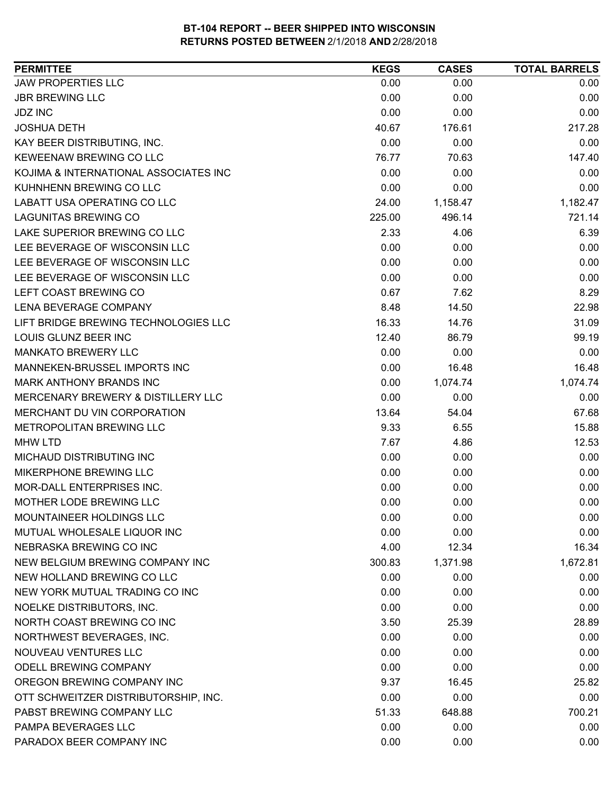| <b>PERMITTEE</b>                      | <b>KEGS</b> | <b>CASES</b> | <b>TOTAL BARRELS</b> |
|---------------------------------------|-------------|--------------|----------------------|
| <b>JAW PROPERTIES LLC</b>             | 0.00        | 0.00         | 0.00                 |
| <b>JBR BREWING LLC</b>                | 0.00        | 0.00         | 0.00                 |
| <b>JDZ INC</b>                        | 0.00        | 0.00         | 0.00                 |
| <b>JOSHUA DETH</b>                    | 40.67       | 176.61       | 217.28               |
| KAY BEER DISTRIBUTING, INC.           | 0.00        | 0.00         | 0.00                 |
| KEWEENAW BREWING CO LLC               | 76.77       | 70.63        | 147.40               |
| KOJIMA & INTERNATIONAL ASSOCIATES INC | 0.00        | 0.00         | 0.00                 |
| KUHNHENN BREWING CO LLC               | 0.00        | 0.00         | 0.00                 |
| <b>LABATT USA OPERATING CO LLC</b>    | 24.00       | 1,158.47     | 1,182.47             |
| <b>LAGUNITAS BREWING CO</b>           | 225.00      | 496.14       | 721.14               |
| LAKE SUPERIOR BREWING CO LLC          | 2.33        | 4.06         | 6.39                 |
| LEE BEVERAGE OF WISCONSIN LLC         | 0.00        | 0.00         | 0.00                 |
| LEE BEVERAGE OF WISCONSIN LLC         | 0.00        | 0.00         | 0.00                 |
| LEE BEVERAGE OF WISCONSIN LLC         | 0.00        | 0.00         | 0.00                 |
| LEFT COAST BREWING CO                 | 0.67        | 7.62         | 8.29                 |
| LENA BEVERAGE COMPANY                 | 8.48        | 14.50        | 22.98                |
| LIFT BRIDGE BREWING TECHNOLOGIES LLC  | 16.33       | 14.76        | 31.09                |
| LOUIS GLUNZ BEER INC                  | 12.40       | 86.79        | 99.19                |
| <b>MANKATO BREWERY LLC</b>            | 0.00        | 0.00         | 0.00                 |
| MANNEKEN-BRUSSEL IMPORTS INC          | 0.00        | 16.48        | 16.48                |
| MARK ANTHONY BRANDS INC               | 0.00        | 1,074.74     | 1,074.74             |
| MERCENARY BREWERY & DISTILLERY LLC    | 0.00        | 0.00         | 0.00                 |
| MERCHANT DU VIN CORPORATION           | 13.64       | 54.04        | 67.68                |
| METROPOLITAN BREWING LLC              | 9.33        | 6.55         | 15.88                |
| <b>MHW LTD</b>                        | 7.67        | 4.86         | 12.53                |
| MICHAUD DISTRIBUTING INC              | 0.00        | 0.00         | 0.00                 |
| MIKERPHONE BREWING LLC                | 0.00        | 0.00         | 0.00                 |
| MOR-DALL ENTERPRISES INC.             | 0.00        | 0.00         | 0.00                 |
| MOTHER LODE BREWING LLC               | 0.00        | 0.00         | 0.00                 |
| MOUNTAINEER HOLDINGS LLC              | 0.00        | 0.00         | 0.00                 |
| MUTUAL WHOLESALE LIQUOR INC           | 0.00        | 0.00         | 0.00                 |
| NEBRASKA BREWING CO INC               | 4.00        | 12.34        | 16.34                |
| NEW BELGIUM BREWING COMPANY INC       | 300.83      | 1,371.98     | 1,672.81             |
| NEW HOLLAND BREWING CO LLC            | 0.00        | 0.00         | 0.00                 |
| NEW YORK MUTUAL TRADING CO INC        | 0.00        | 0.00         | 0.00                 |
| NOELKE DISTRIBUTORS, INC.             | 0.00        | 0.00         | 0.00                 |
| NORTH COAST BREWING CO INC            | 3.50        | 25.39        | 28.89                |
| NORTHWEST BEVERAGES, INC.             | 0.00        | 0.00         | 0.00                 |
| NOUVEAU VENTURES LLC                  | 0.00        | 0.00         | 0.00                 |
| ODELL BREWING COMPANY                 | 0.00        | 0.00         | 0.00                 |
| OREGON BREWING COMPANY INC            | 9.37        | 16.45        | 25.82                |
| OTT SCHWEITZER DISTRIBUTORSHIP, INC.  | 0.00        | 0.00         | 0.00                 |
| PABST BREWING COMPANY LLC             | 51.33       | 648.88       | 700.21               |
| PAMPA BEVERAGES LLC                   | 0.00        | 0.00         | 0.00                 |
| PARADOX BEER COMPANY INC              | 0.00        | 0.00         | 0.00                 |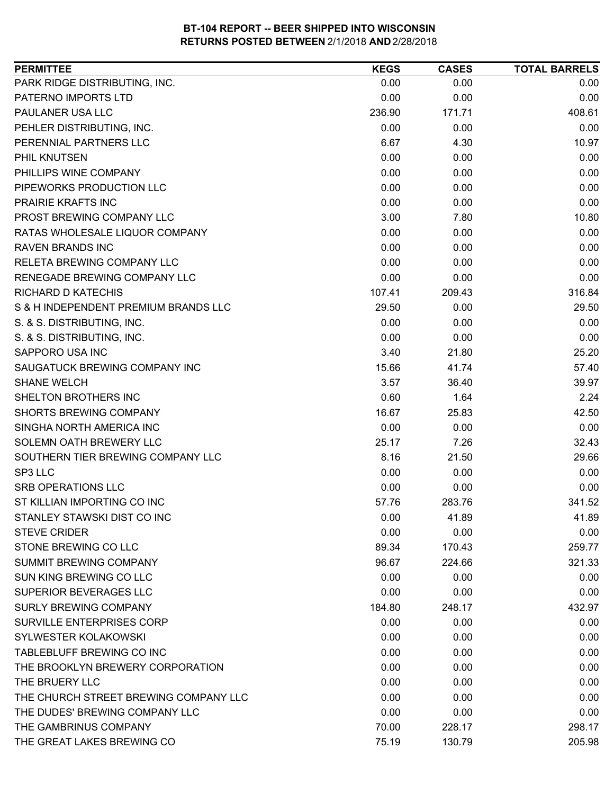| <b>PERMITTEE</b>                      | <b>KEGS</b> | <b>CASES</b> | <b>TOTAL BARRELS</b> |
|---------------------------------------|-------------|--------------|----------------------|
| PARK RIDGE DISTRIBUTING, INC.         | 0.00        | 0.00         | 0.00                 |
| PATERNO IMPORTS LTD                   | 0.00        | 0.00         | 0.00                 |
| PAULANER USA LLC                      | 236.90      | 171.71       | 408.61               |
| PEHLER DISTRIBUTING, INC.             | 0.00        | 0.00         | 0.00                 |
| PERENNIAL PARTNERS LLC                | 6.67        | 4.30         | 10.97                |
| PHIL KNUTSEN                          | 0.00        | 0.00         | 0.00                 |
| PHILLIPS WINE COMPANY                 | 0.00        | 0.00         | 0.00                 |
| PIPEWORKS PRODUCTION LLC              | 0.00        | 0.00         | 0.00                 |
| PRAIRIE KRAFTS INC                    | 0.00        | 0.00         | 0.00                 |
| PROST BREWING COMPANY LLC             | 3.00        | 7.80         | 10.80                |
| RATAS WHOLESALE LIQUOR COMPANY        | 0.00        | 0.00         | 0.00                 |
| <b>RAVEN BRANDS INC</b>               | 0.00        | 0.00         | 0.00                 |
| RELETA BREWING COMPANY LLC            | 0.00        | 0.00         | 0.00                 |
| <b>RENEGADE BREWING COMPANY LLC</b>   | 0.00        | 0.00         | 0.00                 |
| <b>RICHARD D KATECHIS</b>             | 107.41      | 209.43       | 316.84               |
| S & H INDEPENDENT PREMIUM BRANDS LLC  | 29.50       | 0.00         | 29.50                |
| S. & S. DISTRIBUTING, INC.            | 0.00        | 0.00         | 0.00                 |
| S. & S. DISTRIBUTING, INC.            | 0.00        | 0.00         | 0.00                 |
| SAPPORO USA INC                       | 3.40        | 21.80        | 25.20                |
| SAUGATUCK BREWING COMPANY INC         | 15.66       | 41.74        | 57.40                |
| <b>SHANE WELCH</b>                    | 3.57        | 36.40        | 39.97                |
| SHELTON BROTHERS INC                  | 0.60        | 1.64         | 2.24                 |
| SHORTS BREWING COMPANY                | 16.67       | 25.83        | 42.50                |
| SINGHA NORTH AMERICA INC              | 0.00        | 0.00         | 0.00                 |
| SOLEMN OATH BREWERY LLC               | 25.17       | 7.26         | 32.43                |
| SOUTHERN TIER BREWING COMPANY LLC     | 8.16        | 21.50        | 29.66                |
| SP3 LLC                               | 0.00        | 0.00         | 0.00                 |
| <b>SRB OPERATIONS LLC</b>             | 0.00        | 0.00         | 0.00                 |
| ST KILLIAN IMPORTING CO INC           | 57.76       | 283.76       | 341.52               |
| STANLEY STAWSKI DIST CO INC           | 0.00        | 41.89        | 41.89                |
| <b>STEVE CRIDER</b>                   | 0.00        | 0.00         | 0.00                 |
| STONE BREWING CO LLC                  | 89.34       | 170.43       | 259.77               |
| SUMMIT BREWING COMPANY                | 96.67       | 224.66       | 321.33               |
| SUN KING BREWING CO LLC               | 0.00        | 0.00         | 0.00                 |
| SUPERIOR BEVERAGES LLC                | 0.00        | 0.00         | 0.00                 |
| <b>SURLY BREWING COMPANY</b>          | 184.80      | 248.17       | 432.97               |
| SURVILLE ENTERPRISES CORP             | 0.00        | 0.00         | 0.00                 |
| <b>SYLWESTER KOLAKOWSKI</b>           | 0.00        | 0.00         | 0.00                 |
| TABLEBLUFF BREWING CO INC             | 0.00        | 0.00         | 0.00                 |
| THE BROOKLYN BREWERY CORPORATION      | 0.00        | 0.00         | 0.00                 |
| THE BRUERY LLC                        | 0.00        | 0.00         | 0.00                 |
| THE CHURCH STREET BREWING COMPANY LLC | 0.00        | 0.00         | 0.00                 |
| THE DUDES' BREWING COMPANY LLC        | 0.00        | 0.00         | 0.00                 |
| THE GAMBRINUS COMPANY                 | 70.00       | 228.17       | 298.17               |
| THE GREAT LAKES BREWING CO            | 75.19       | 130.79       | 205.98               |